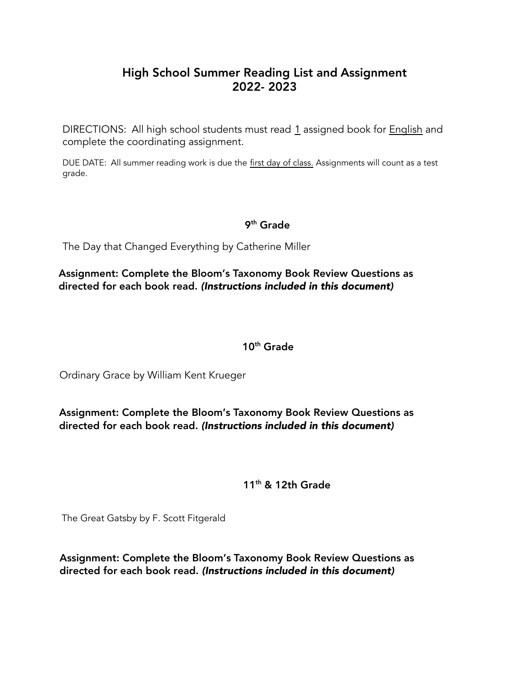# High School Summer Reading List and Assignment 2022- 2023

DIRECTIONS: All high school students must read 1 assigned book for English and complete the coordinating assignment.

DUE DATE: All summer reading work is due the first day of class. Assignments will count as a test grade.

## 9<sup>th</sup> Grade

The Day that Changed Everything by Catherine Miller

Assignment: Complete the Bloom's Taxonomy Book Review Questions as directed for each book read. (Instructions included in this document)

### $10^{th}$  Grade

Ordinary Grace by William Kent Krueger

### Assignment: Complete the Bloom's Taxonomy Book Review Questions as directed for each book read. (Instructions included in this document)

### 11 th & 12th Grade

The Great Gatsby by F. Scott Fitgerald

Assignment: Complete the Bloom's Taxonomy Book Review Questions as directed for each book read. (Instructions included in this document)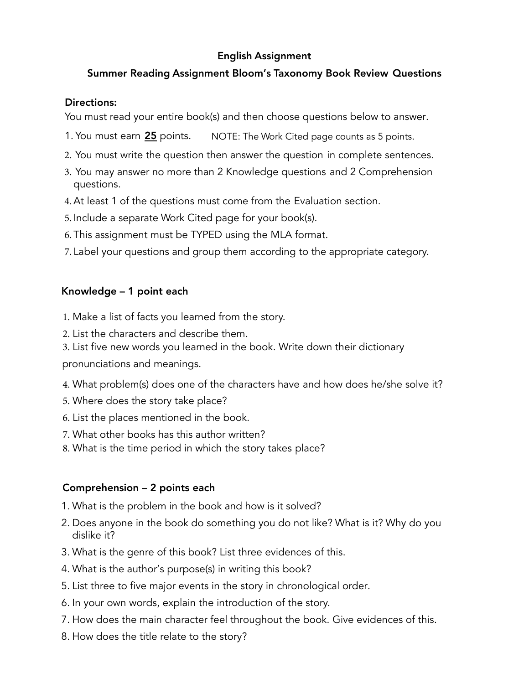## English Assignment

## Summer Reading Assignment Bloom's Taxonomy Book Review Questions

### Directions:

You must read your entire book(s) and then choose questions below to answer.

- 1. You must earn 25 points. NOTE: The Work Cited page counts as 5 points.
- 2. You must write the question then answer the question in complete sentences.
- 3. You may answer no more than 2 Knowledge questions and 2 Comprehension questions.
- 4.At least 1 of the questions must come from the Evaluation section.
- 5. Include a separate Work Cited page for your book(s).
- 6. This assignment must be TYPED using the MLA format.
- 7. Label your questions and group them according to the appropriate category.

## Knowledge – 1 point each

- 1. Make a list of facts you learned from the story.
- 2. List the characters and describe them.
- 3. List five new words you learned in the book. Write down their dictionary

pronunciations and meanings.

- 4. What problem(s) does one of the characters have and how does he/she solve it?
- 5. Where does the story take place?
- 6. List the places mentioned in the book.
- 7. What other books has this author written?
- 8. What is the time period in which the story takes place?

## Comprehension – 2 points each

- 1. What is the problem in the book and how is it solved?
- 2. Does anyone in the book do something you do not like? What is it? Why do you dislike it?
- 3. What is the genre of this book? List three evidences of this.
- 4. What is the author's purpose(s) in writing this book?
- 5. List three to five major events in the story in chronological order.
- 6. In your own words, explain the introduction of the story.
- 7. How does the main character feel throughout the book. Give evidences of this.
- 8. How does the title relate to the story?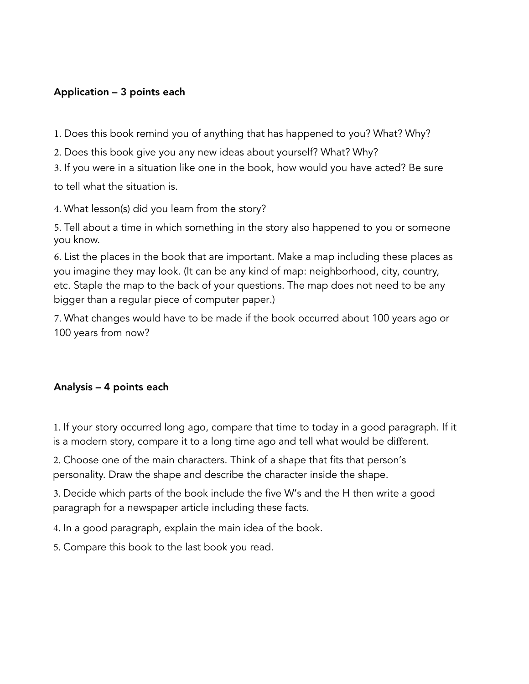### Application – 3 points each

1. Does this book remind you of anything that has happened to you? What? Why?

- 2. Does this book give you any new ideas about yourself? What? Why?
- 3. If you were in a situation like one in the book, how would you have acted? Be sure

to tell what the situation is.

4. What lesson(s) did you learn from the story?

5. Tell about a time in which something in the story also happened to you or someone you know.

6. List the places in the book that are important. Make a map including these places as you imagine they may look. (It can be any kind of map: neighborhood, city, country, etc. Staple the map to the back of your questions. The map does not need to be any bigger than a regular piece of computer paper.)

7. What changes would have to be made if the book occurred about 100 years ago or 100 years from now?

### Analysis – 4 points each

1. If your story occurred long ago, compare that time to today in a good paragraph. If it is a modern story, compare it to a long time ago and tell what would be different.

2. Choose one of the main characters. Think of a shape that fits that person's personality. Draw the shape and describe the character inside the shape.

3. Decide which parts of the book include the five W's and the H then write a good paragraph for a newspaper article including these facts.

4. In a good paragraph, explain the main idea of the book.

5. Compare this book to the last book you read.